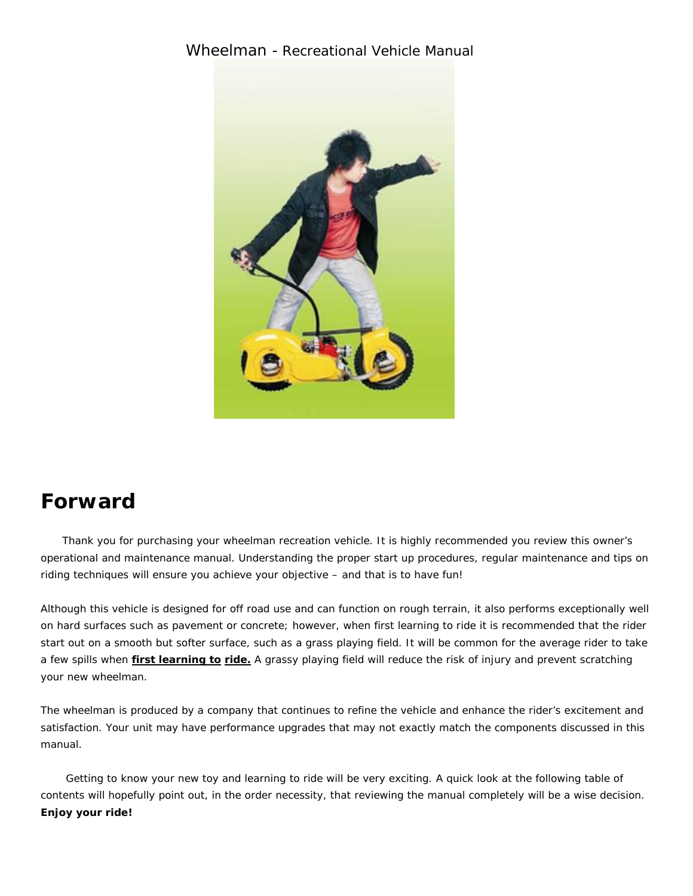### Wheelman - Recreational Vehicle Manual



## **Forward**

 Thank you for purchasing your wheelman recreation vehicle. It is highly recommended you review this owner's operational and maintenance manual. Understanding the proper start up procedures, regular maintenance and tips on riding techniques will ensure you achieve your objective – and that is to have fun!

Although this vehicle is designed for off road use and can function on rough terrain, it also performs exceptionally well on hard surfaces such as pavement or concrete; however, when first learning to ride it is recommended that the rider start out on a smooth but softer surface, such as a grass playing field. It will be common for the average rider to take a few spills when *first learning to ride***.** A grassy playing field will reduce the risk of injury and prevent scratching your new wheelman.

The wheelman is produced by a company that continues to refine the vehicle and enhance the rider's excitement and satisfaction. Your unit may have performance upgrades that may not exactly match the components discussed in this manual.

 Getting to know your new toy and learning to ride will be very exciting. A quick look at the following table of contents will hopefully point out, in the order necessity, that reviewing the manual completely will be a wise decision. **Enjoy your ride!**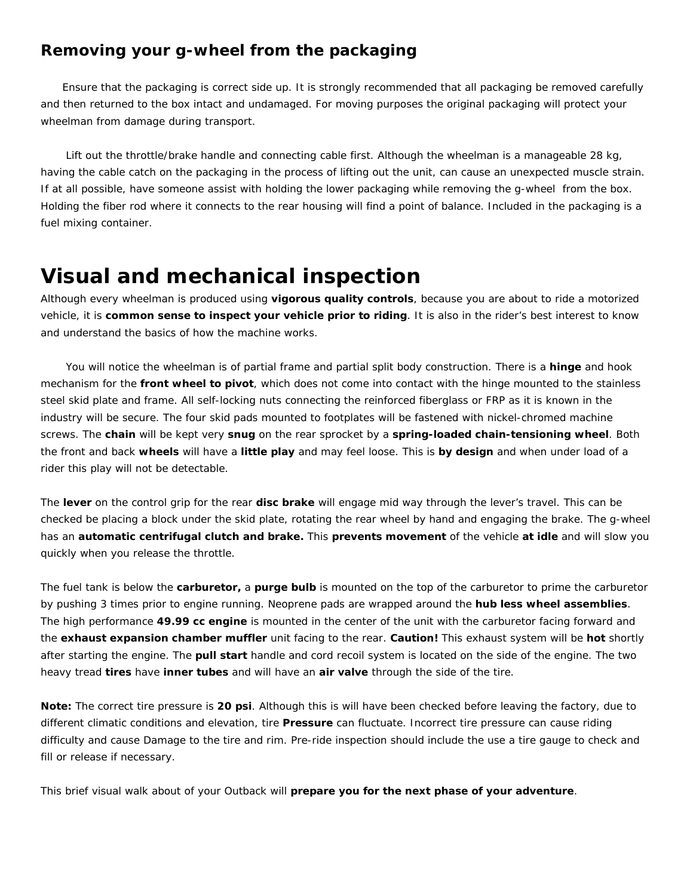### **Removing your g-wheel from the packaging**

 Ensure that the packaging is correct side up. It is strongly recommended that all packaging be removed carefully and then returned to the box intact and undamaged. For moving purposes the original packaging will protect your wheelman from damage during transport.

 Lift out the throttle/brake handle and connecting cable first. Although the wheelman is a manageable 28 kg, having the cable catch on the packaging in the process of lifting out the unit, can cause an unexpected muscle strain. If at all possible, have someone assist with holding the lower packaging while removing the g-wheel from the box. Holding the fiber rod where it connects to the rear housing will find a point of balance. Included in the packaging is a fuel mixing container.

# **Visual and mechanical inspection**

Although every wheelman is produced using **vigorous quality controls**, because you are about to ride a motorized vehicle, it is **common sense to inspect your vehicle prior to riding**. It is also in the rider's best interest to know and understand the basics of how the machine works.

 You will notice the wheelman is of partial frame and partial split body construction. There is a **hinge** and hook mechanism for the **front wheel to pivot**, which does not come into contact with the hinge mounted to the stainless steel skid plate and frame. All self-locking nuts connecting the reinforced fiberglass or FRP as it is known in the industry will be secure. The four skid pads mounted to footplates will be fastened with nickel-chromed machine screws. The **chain** will be kept very **snug** on the rear sprocket by a **spring-loaded chain-tensioning wheel**. Both the front and back **wheels** will have a **little play** and may feel loose. This is **by design** and when under load of a rider this play will not be detectable.

The **lever** on the control grip for the rear **disc brake** will engage mid way through the lever's travel. This can be checked be placing a block under the skid plate, rotating the rear wheel by hand and engaging the brake. The g-wheel has an **automatic centrifugal clutch and brake.** This **prevents movement** of the vehicle **at idle** and will slow you quickly when you release the throttle.

The fuel tank is below the **carburetor,** a **purge bulb** is mounted on the top of the carburetor to prime the carburetor by pushing 3 times prior to engine running. Neoprene pads are wrapped around the **hub less wheel assemblies**. The high performance **49.99 cc engine** is mounted in the center of the unit with the carburetor facing forward and the **exhaust expansion chamber muffler** unit facing to the rear. **Caution!** This exhaust system will be **hot** shortly after starting the engine. The **pull start** handle and cord recoil system is located on the side of the engine. The two heavy tread **tires** have **inner tubes** and will have an **air valve** through the side of the tire.

**Note:** The correct tire pressure is **20 psi**. Although this is will have been checked before leaving the factory, due to different climatic conditions and elevation, tire **Pressure** can fluctuate. Incorrect tire pressure can cause riding difficulty and cause Damage to the tire and rim. Pre-ride inspection should include the use a tire gauge to check and fill or release if necessary.

This brief visual walk about of your Outback will **prepare you for the next phase of your adventure**.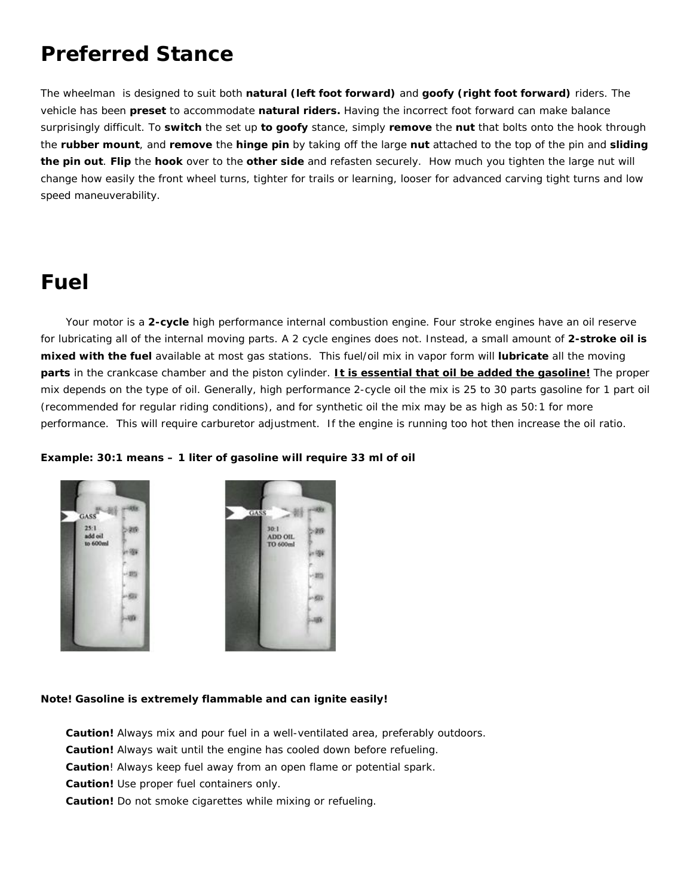# **Preferred Stance**

The wheelman is designed to suit both **natural (left foot forward)** and **goofy (right foot forward)** riders. The vehicle has been **preset** to accommodate **natural riders.** Having the incorrect foot forward can make balance surprisingly difficult. To **switch** the set up **to goofy** stance, simply **remove** the **nut** that bolts onto the hook through the **rubber mount**, and **remove** the **hinge pin** by taking off the large **nut** attached to the top of the pin and **sliding the pin out**. **Flip** the **hook** over to the **other side** and refasten securely. How much you tighten the large nut will change how easily the front wheel turns, tighter for trails or learning, looser for advanced carving tight turns and low speed maneuverability.

# **Fuel**

 Your motor is a **2-cycle** high performance internal combustion engine. Four stroke engines have an oil reserve for lubricating all of the internal moving parts. A 2 cycle engines does not. Instead, a small amount of **2-stroke oil is mixed with the fuel** available at most gas stations. This fuel/oil mix in vapor form will **lubricate** all the moving **parts** in the crankcase chamber and the piston cylinder. **It is essential that oil be added the gasoline!** The proper mix depends on the type of oil. Generally, high performance 2-cycle oil the mix is 25 to 30 parts gasoline for 1 part oil (recommended for regular riding conditions), and for synthetic oil the mix may be as high as 50:1 for more performance. This will require carburetor adjustment. If the engine is running too hot then increase the oil ratio.



#### **Example: 30:1 means – 1 liter of gasoline will require 33 ml of oil**



#### **Note! Gasoline is extremely flammable and can ignite easily!**

- **Caution!** Always mix and pour fuel in a well-ventilated area, preferably outdoors.
- **Caution!** Always wait until the engine has cooled down before refueling.
- **Caution**! Always keep fuel away from an open flame or potential spark.
- **Caution!** Use proper fuel containers only.
- **Caution!** Do not smoke cigarettes while mixing or refueling.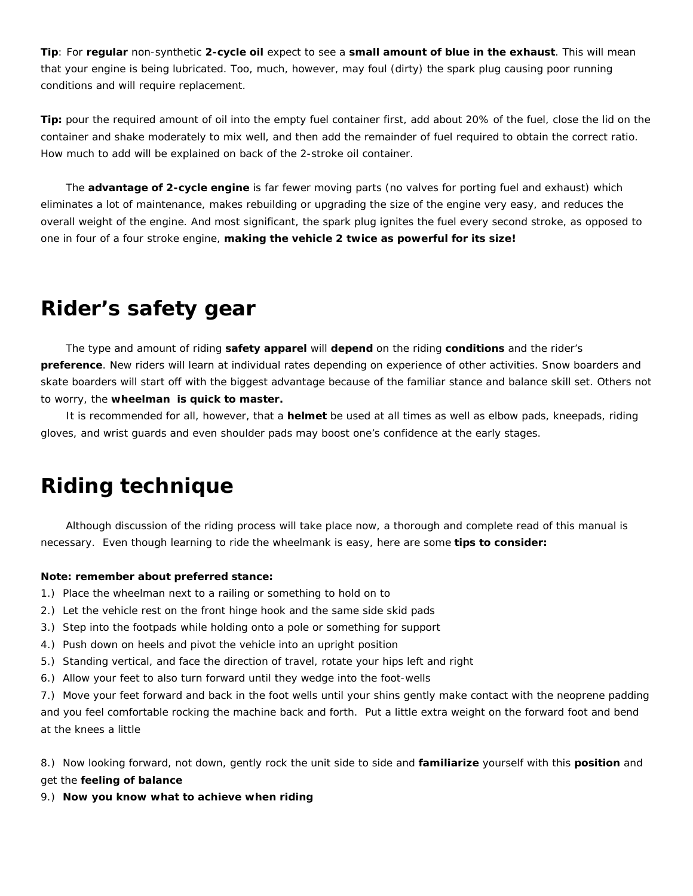**Tip**: For **regular** non-synthetic **2-cycle oil** expect to see a **small amount of blue in the exhaust**. This will mean that your engine is being lubricated. Too, much, however, may foul (dirty) the spark plug causing poor running conditions and will require replacement.

**Tip:** pour the required amount of oil into the empty fuel container first, add about 20% of the fuel, close the lid on the container and shake moderately to mix well, and then add the remainder of fuel required to obtain the correct ratio. How much to add will be explained on back of the 2-stroke oil container.

 The **advantage of 2-cycle engine** is far fewer moving parts (no valves for porting fuel and exhaust) which eliminates a lot of maintenance, makes rebuilding or upgrading the size of the engine very easy, and reduces the overall weight of the engine. And most significant, the spark plug ignites the fuel every second stroke, as opposed to one in four of a four stroke engine, **making the vehicle 2 twice as powerful for its size!**

## **Rider's safety gear**

 The type and amount of riding **safety apparel** will **depend** on the riding **conditions** and the rider's **preference**. New riders will learn at individual rates depending on experience of other activities. Snow boarders and skate boarders will start off with the biggest advantage because of the familiar stance and balance skill set. Others not to worry, the **wheelman is quick to master.**

 It is recommended for all, however, that a **helmet** be used at all times as well as elbow pads, kneepads, riding gloves, and wrist guards and even shoulder pads may boost one's confidence at the early stages.

# **Riding technique**

 Although discussion of the riding process will take place now, a thorough and complete read of this manual is necessary. Even though learning to ride the wheelmank is easy, here are some **tips to consider:**

#### **Note: remember about preferred stance:**

- 1.) Place the wheelman next to a railing or something to hold on to
- 2.) Let the vehicle rest on the front hinge hook and the same side skid pads
- 3.) Step into the footpads while holding onto a pole or something for support
- 4.) Push down on heels and pivot the vehicle into an upright position
- 5.) Standing vertical, and face the direction of travel, rotate your hips left and right
- 6.) Allow your feet to also turn forward until they wedge into the foot-wells

7.) Move your feet forward and back in the foot wells until your shins gently make contact with the neoprene padding and you feel comfortable rocking the machine back and forth. Put a little extra weight on the forward foot and bend at the knees a little

8.) Now looking forward, not down, gently rock the unit side to side and **familiarize** yourself with this **position** and

get the **feeling of balance**

9.) **Now you know what to achieve when riding**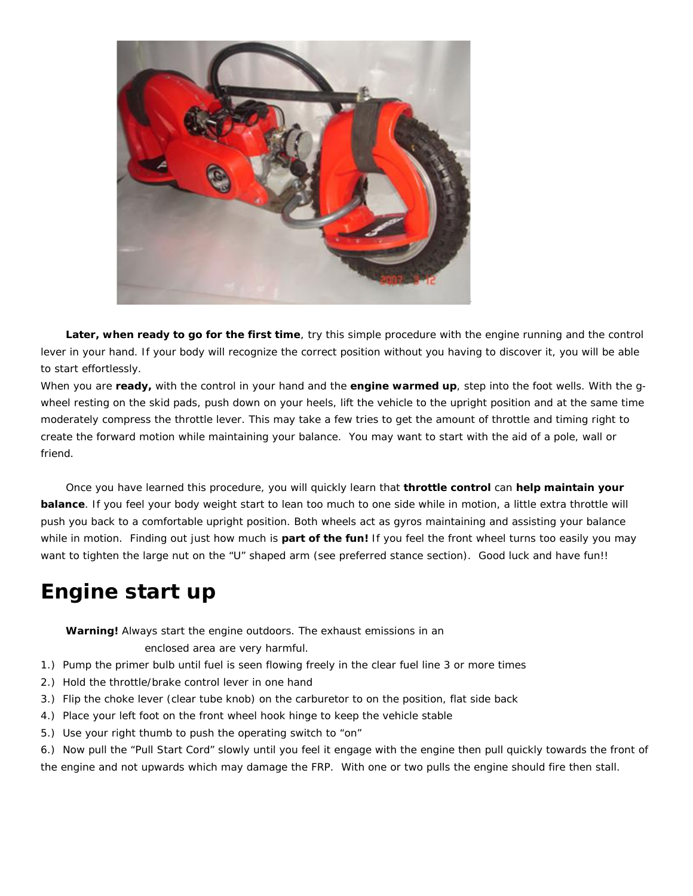

 **Later, when ready to go for the first time**, try this simple procedure with the engine running and the control lever in your hand. If your body will recognize the correct position without you having to discover it, you will be able to start effortlessly.

When you are **ready,** with the control in your hand and the **engine warmed up**, step into the foot wells. With the gwheel resting on the skid pads, push down on your heels, lift the vehicle to the upright position and at the same time moderately compress the throttle lever. This may take a few tries to get the amount of throttle and timing right to create the forward motion while maintaining your balance. You may want to start with the aid of a pole, wall or friend.

 Once you have learned this procedure, you will quickly learn that **throttle control** can **help maintain your balance**. If you feel your body weight start to lean too much to one side while in motion, a little extra throttle will push you back to a comfortable upright position. Both wheels act as gyros maintaining and assisting your balance while in motion. Finding out just how much is **part of the fun!** If you feel the front wheel turns too easily you may want to tighten the large nut on the "U" shaped arm (see preferred stance section). Good luck and have fun!!

# **Engine start up**

**Warning!** Always start the engine outdoors. The exhaust emissions in an

enclosed area are very harmful.

- 1.) Pump the primer bulb until fuel is seen flowing freely in the clear fuel line 3 or more times
- 2.) Hold the throttle/brake control lever in one hand
- 3.) Flip the choke lever (clear tube knob) on the carburetor to on the position, flat side back
- 4.) Place your left foot on the front wheel hook hinge to keep the vehicle stable
- 5.) Use your right thumb to push the operating switch to "on"

6.) Now pull the "Pull Start Cord" slowly until you feel it engage with the engine then pull quickly towards the front of the engine and not upwards which may damage the FRP. With one or two pulls the engine should fire then stall.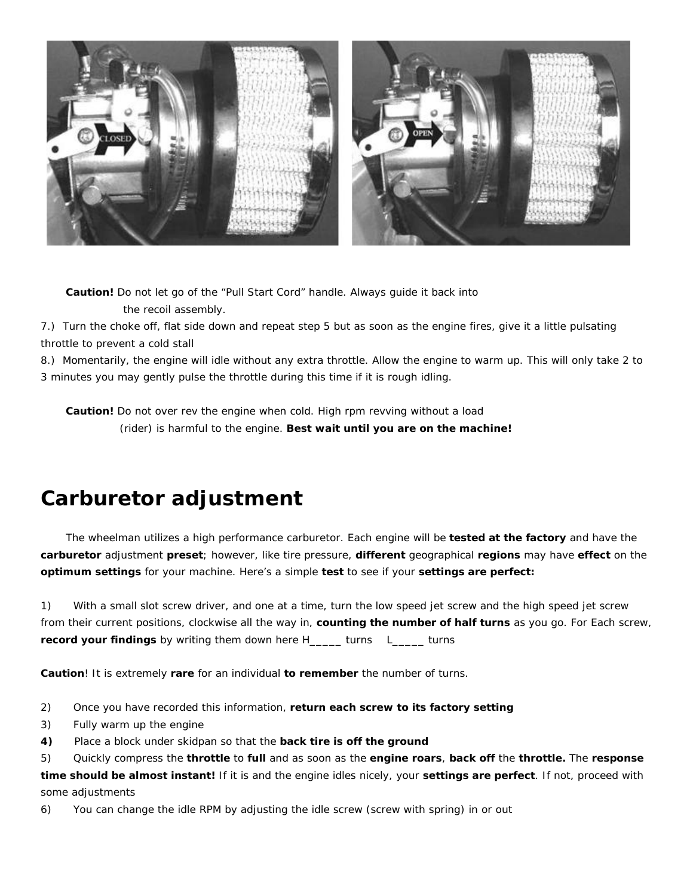

 **Caution!** Do not let go of the "Pull Start Cord" handle. Always guide it back into the recoil assembly.

7.) Turn the choke off, flat side down and repeat step 5 but as soon as the engine fires, give it a little pulsating throttle to prevent a cold stall

8.) Momentarily, the engine will idle without any extra throttle. Allow the engine to warm up. This will only take 2 to 3 minutes you may gently pulse the throttle during this time if it is rough idling.

 **Caution!** Do not over rev the engine when cold. High rpm revving without a load (rider) is harmful to the engine. **Best wait until you are on the machine!**

# **Carburetor adjustment**

 The wheelman utilizes a high performance carburetor. Each engine will be **tested at the factory** and have the **carburetor** adjustment **preset**; however, like tire pressure, **different** geographical **regions** may have **effect** on the **optimum settings** for your machine. Here's a simple **test** to see if your **settings are perfect:**

1) With a small slot screw driver, and one at a time, turn the low speed jet screw and the high speed jet screw from their current positions, clockwise all the way in, **counting the number of half turns** as you go. For Each screw, **record your findings** by writing them down here H\_\_\_\_\_ turns L\_\_\_\_\_ turns

**Caution**! It is extremely **rare** for an individual **to remember** the number of turns.

- 2) Once you have recorded this information, **return each screw to its factory setting**
- 3) Fully warm up the engine
- **4)** Place a block under skidpan so that the **back tire is off the ground**

5) Quickly compress the **throttle** to **full** and as soon as the **engine roars**, **back off** the **throttle.** The **response time should be almost instant!** If it is and the engine idles nicely, your **settings are perfect**. If not, proceed with some adjustments

6) You can change the idle RPM by adjusting the idle screw (screw with spring) in or out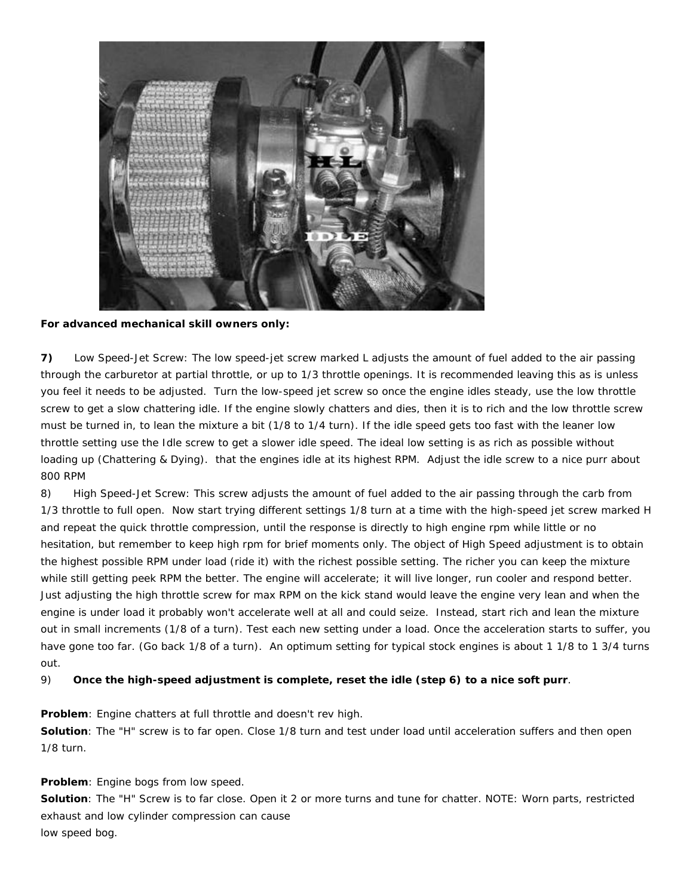

**For advanced mechanical skill owners only:**

**7)** Low Speed-Jet Screw: The low speed-jet screw marked L adjusts the amount of fuel added to the air passing through the carburetor at partial throttle, or up to 1/3 throttle openings. It is recommended leaving this as is unless you feel it needs to be adjusted. Turn the low-speed jet screw so once the engine idles steady, use the low throttle screw to get a slow chattering idle. If the engine slowly chatters and dies, then it is to rich and the low throttle screw must be turned in, to lean the mixture a bit (1/8 to 1/4 turn). If the idle speed gets too fast with the leaner low throttle setting use the Idle screw to get a slower idle speed. The ideal low setting is as rich as possible without loading up (Chattering & Dying). that the engines idle at its highest RPM. Adjust the idle screw to a nice purr about 800 RPM

8) High Speed-Jet Screw: This screw adjusts the amount of fuel added to the air passing through the carb from 1/3 throttle to full open. Now start trying different settings 1/8 turn at a time with the high-speed jet screw marked H and repeat the quick throttle compression, until the response is directly to high engine rpm while little or no hesitation, but remember to keep high rpm for brief moments only. The object of High Speed adjustment is to obtain the highest possible RPM under load (ride it) with the richest possible setting. The richer you can keep the mixture while still getting peek RPM the better. The engine will accelerate; it will live longer, run cooler and respond better. Just adjusting the high throttle screw for max RPM on the kick stand would leave the engine very lean and when the engine is under load it probably won't accelerate well at all and could seize. Instead, start rich and lean the mixture out in small increments (1/8 of a turn). Test each new setting under a load. Once the acceleration starts to suffer, you have gone too far. (Go back 1/8 of a turn). An optimum setting for typical stock engines is about 1 1/8 to 1 3/4 turns out.

9) **Once the high-speed adjustment is complete, reset the idle (step 6) to a nice soft purr**.

**Problem**: Engine chatters at full throttle and doesn't rev high.

**Solution**: The "H" screw is to far open. Close 1/8 turn and test under load until acceleration suffers and then open 1/8 turn.

#### **Problem**: Engine bogs from low speed.

**Solution**: The "H" Screw is to far close. Open it 2 or more turns and tune for chatter. NOTE: Worn parts, restricted exhaust and low cylinder compression can cause low speed bog.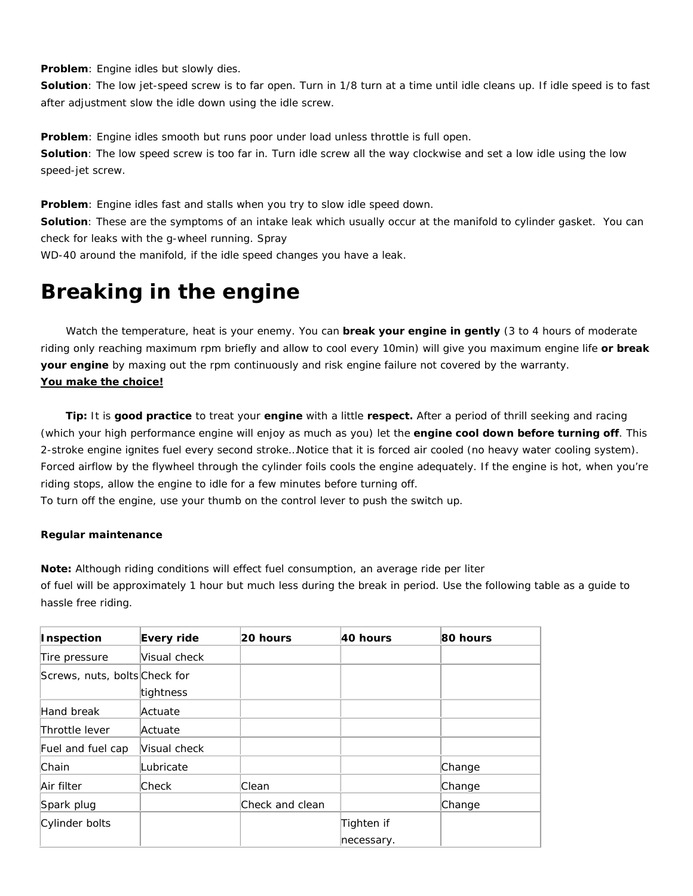**Problem**: Engine idles but slowly dies.

**Solution**: The low jet-speed screw is to far open. Turn in 1/8 turn at a time until idle cleans up. If idle speed is to fast after adjustment slow the idle down using the idle screw.

**Problem**: Engine idles smooth but runs poor under load unless throttle is full open. **Solution**: The low speed screw is too far in. Turn idle screw all the way clockwise and set a low idle using the low speed-jet screw.

**Problem**: Engine idles fast and stalls when you try to slow idle speed down.

**Solution**: These are the symptoms of an intake leak which usually occur at the manifold to cylinder gasket. You can check for leaks with the g-wheel running. Spray

WD-40 around the manifold, if the idle speed changes you have a leak.

# **Breaking in the engine**

 Watch the temperature, heat is your enemy. You can **break your engine in gently** (3 to 4 hours of moderate riding only reaching maximum rpm briefly and allow to cool every 10min) will give you maximum engine life **or break your engine** by maxing out the rpm continuously and risk engine failure not covered by the warranty. *You make the choice!* 

 **Tip:** It is **good practice** to treat your **engine** with a little **respect.** After a period of thrill seeking and racing (which your high performance engine will enjoy as much as you) let the **engine cool down before turning off**. This 2-stroke engine ignites fuel every second stroke…Notice that it is forced air cooled (no heavy water cooling system). Forced airflow by the flywheel through the cylinder foils cools the engine adequately. If the engine is hot, when you're riding stops, allow the engine to idle for a few minutes before turning off.

To turn off the engine, use your thumb on the control lever to push the switch up.

#### **Regular maintenance**

**Note:** Although riding conditions will effect fuel consumption, an average ride per liter

of fuel will be approximately 1 hour but much less during the break in period. Use the following table as a guide to hassle free riding.

| <b>Inspection</b>             | Every ride   | 20 hours        | 40 hours                 | 80 hours |
|-------------------------------|--------------|-----------------|--------------------------|----------|
| Tire pressure                 | Visual check |                 |                          |          |
| Screws, nuts, bolts Check for | tightness    |                 |                          |          |
| Hand break                    | Actuate      |                 |                          |          |
| Throttle lever                | Actuate      |                 |                          |          |
| Fuel and fuel cap             | Visual check |                 |                          |          |
| Chain                         | Lubricate    |                 |                          | Change   |
| Air filter                    | <b>Check</b> | Clean           |                          | Change   |
| Spark plug                    |              | Check and clean |                          | Change   |
| Cylinder bolts                |              |                 | Tighten if<br>necessary. |          |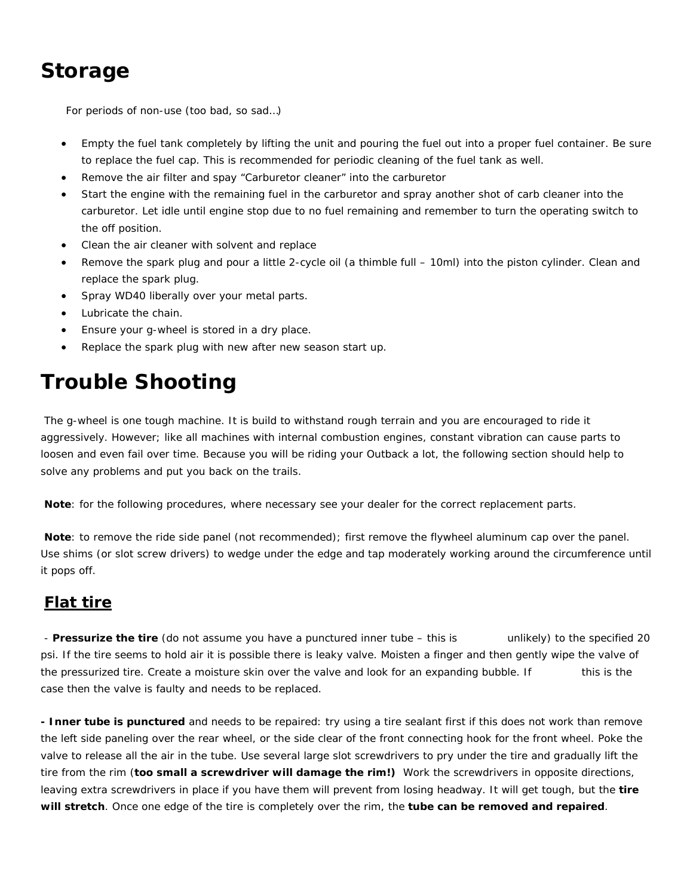# **Storage**

For periods of non-use (too bad, so sad…)

- Empty the fuel tank completely by lifting the unit and pouring the fuel out into a proper fuel container. Be sure to replace the fuel cap. This is recommended for periodic cleaning of the fuel tank as well.
- Remove the air filter and spay "Carburetor cleaner" into the carburetor
- Start the engine with the remaining fuel in the carburetor and spray another shot of carb cleaner into the carburetor. Let idle until engine stop due to no fuel remaining and remember to turn the operating switch to the off position.
- Clean the air cleaner with solvent and replace
- Remove the spark plug and pour a little 2-cycle oil (a thimble full 10ml) into the piston cylinder. Clean and replace the spark plug.
- Spray WD40 liberally over your metal parts.
- Lubricate the chain.
- Ensure your g-wheel is stored in a dry place.
- Replace the spark plug with new after new season start up.

# **Trouble Shooting**

 The g-wheel is one tough machine. It is build to withstand rough terrain and you are encouraged to ride it aggressively. However; like all machines with internal combustion engines, constant vibration can cause parts to loosen and even fail over time. Because you will be riding your Outback a lot, the following section should help to solve any problems and put you back on the trails.

**Note**: for the following procedures, where necessary see your dealer for the correct replacement parts.

**Note**: to remove the ride side panel (not recommended); first remove the flywheel aluminum cap over the panel. Use shims (or slot screw drivers) to wedge under the edge and tap moderately working around the circumference until it pops off.

## **Flat tire**

 - **Pressurize the tire** (do not assume you have a punctured inner tube – this is unlikely) to the specified 20 psi. If the tire seems to hold air it is possible there is leaky valve. Moisten a finger and then gently wipe the valve of the pressurized tire. Create a moisture skin over the valve and look for an expanding bubble. If this is the case then the valve is faulty and needs to be replaced.

**- Inner tube is punctured** and needs to be repaired: try using a tire sealant first if this does not work than remove the left side paneling over the rear wheel, or the side clear of the front connecting hook for the front wheel. Poke the valve to release all the air in the tube. Use several large slot screwdrivers to pry under the tire and gradually lift the tire from the rim (**too small a screwdriver will damage the rim!)** Work the screwdrivers in opposite directions, leaving extra screwdrivers in place if you have them will prevent from losing headway. It will get tough, but the **tire will stretch**. Once one edge of the tire is completely over the rim, the **tube can be removed and repaired**.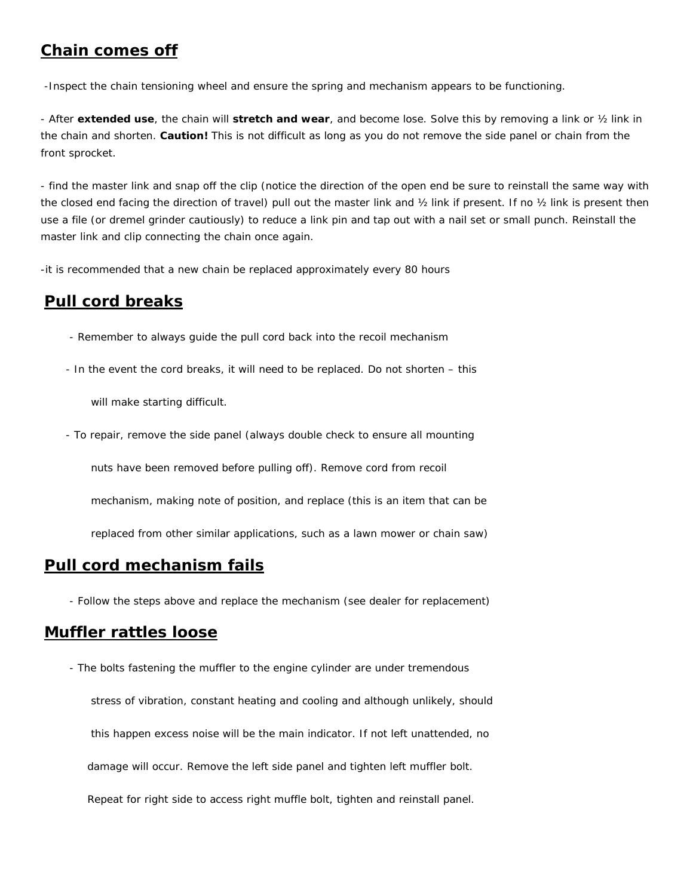### **Chain comes off**

-Inspect the chain tensioning wheel and ensure the spring and mechanism appears to be functioning.

- After **extended use**, the chain will **stretch and wear**, and become lose. Solve this by removing a link or ½ link in the chain and shorten. **Caution!** This is not difficult as long as you do not remove the side panel or chain from the front sprocket.

- find the master link and snap off the clip (notice the direction of the open end be sure to reinstall the same way with the closed end facing the direction of travel) pull out the master link and ½ link if present. If no ½ link is present then use a file (or dremel grinder cautiously) to reduce a link pin and tap out with a nail set or small punch. Reinstall the master link and clip connecting the chain once again.

-it is recommended that a new chain be replaced approximately every 80 hours

### **Pull cord breaks**

- Remember to always guide the pull cord back into the recoil mechanism
- In the event the cord breaks, it will need to be replaced. Do not shorten this

will make starting difficult.

- To repair, remove the side panel (always double check to ensure all mounting

nuts have been removed before pulling off). Remove cord from recoil

mechanism, making note of position, and replace (this is an item that can be

replaced from other similar applications, such as a lawn mower or chain saw)

### **Pull cord mechanism fails**

- Follow the steps above and replace the mechanism (see dealer for replacement)

### **Muffler rattles loose**

 - The bolts fastening the muffler to the engine cylinder are under tremendous stress of vibration, constant heating and cooling and although unlikely, should this happen excess noise will be the main indicator. If not left unattended, no damage will occur. Remove the left side panel and tighten left muffler bolt. Repeat for right side to access right muffle bolt, tighten and reinstall panel.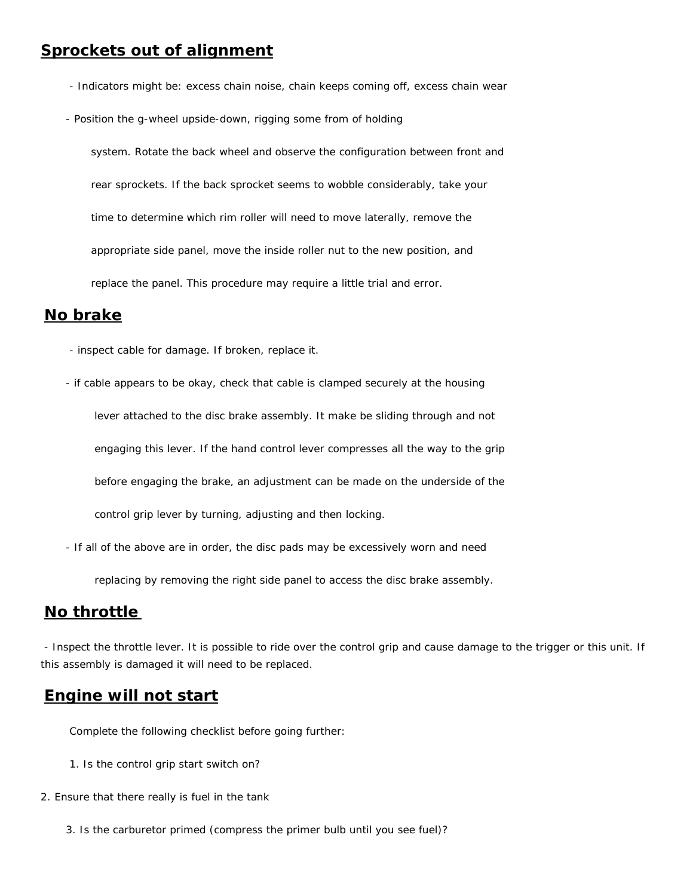- Indicators might be: excess chain noise, chain keeps coming off, excess chain wear
- Position the g-wheel upside-down, rigging some from of holding

 system. Rotate the back wheel and observe the configuration between front and rear sprockets. If the back sprocket seems to wobble considerably, take your time to determine which rim roller will need to move laterally, remove the appropriate side panel, move the inside roller nut to the new position, and replace the panel. This procedure may require a little trial and error.

### **No brake**

- inspect cable for damage. If broken, replace it.

 - if cable appears to be okay, check that cable is clamped securely at the housing lever attached to the disc brake assembly. It make be sliding through and not engaging this lever. If the hand control lever compresses all the way to the grip before engaging the brake, an adjustment can be made on the underside of the control grip lever by turning, adjusting and then locking.

- If all of the above are in order, the disc pads may be excessively worn and need

replacing by removing the right side panel to access the disc brake assembly.

### **No throttle**

 - Inspect the throttle lever. It is possible to ride over the control grip and cause damage to the trigger or this unit. If this assembly is damaged it will need to be replaced.

### **Engine will not start**

Complete the following checklist before going further:

- 1. Is the control grip start switch on?
- 2. Ensure that there really is fuel in the tank
	- 3. Is the carburetor primed (compress the primer bulb until you see fuel)?